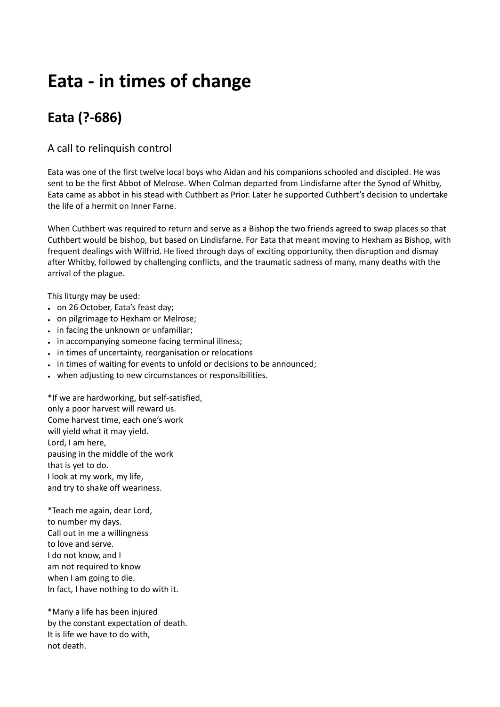## **Eata - in times of change**

## **Eata (?-686)**

## A call to relinquish control

Eata was one of the first twelve local boys who Aidan and his companions schooled and discipled. He was sent to be the first Abbot of Melrose. When Colman departed from Lindisfarne after the Synod of Whitby, Eata came as abbot in his stead with Cuthbert as Prior. Later he supported Cuthbert's decision to undertake the life of a hermit on Inner Farne.

When Cuthbert was required to return and serve as a Bishop the two friends agreed to swap places so that Cuthbert would be bishop, but based on Lindisfarne. For Eata that meant moving to Hexham as Bishop, with frequent dealings with Wilfrid. He lived through days of exciting opportunity, then disruption and dismay after Whitby, followed by challenging conflicts, and the traumatic sadness of many, many deaths with the arrival of the plague.

This liturgy may be used:

- on 26 October, Eata's feast day;
- on pilgrimage to Hexham or Melrose;
- in facing the unknown or unfamiliar;
- in accompanying someone facing terminal illness;
- in times of uncertainty, reorganisation or relocations
- in times of waiting for events to unfold or decisions to be announced;
- when adjusting to new circumstances or responsibilities.

\*If we are hardworking, but self-satisfied, only a poor harvest will reward us. Come harvest time, each one's work will yield what it may yield. Lord, I am here, pausing in the middle of the work that is yet to do. I look at my work, my life, and try to shake off weariness.

\*Teach me again, dear Lord, to number my days. Call out in me a willingness to love and serve. I do not know, and I am not required to know when I am going to die. In fact, I have nothing to do with it.

\*Many a life has been injured by the constant expectation of death. It is life we have to do with, not death.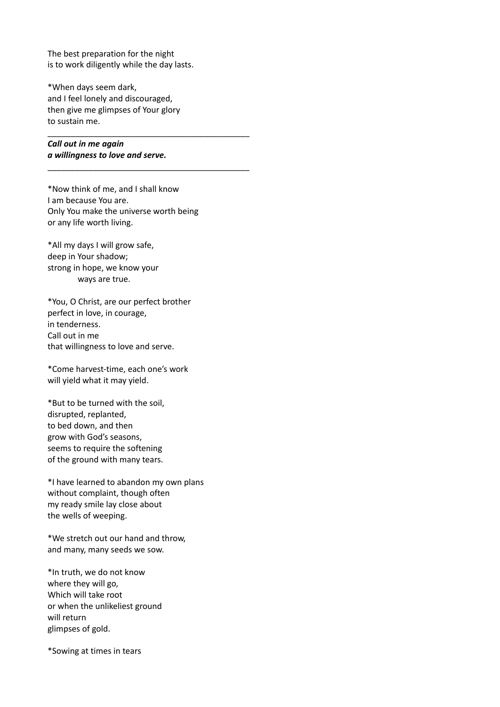The best preparation for the night is to work diligently while the day lasts.

\*When days seem dark, and I feel lonely and discouraged, then give me glimpses of Your glory to sustain me.

\_\_\_\_\_\_\_\_\_\_\_\_\_\_\_\_\_\_\_\_\_\_\_\_\_\_\_\_\_\_\_\_\_\_\_\_\_\_\_\_\_\_\_\_

\_\_\_\_\_\_\_\_\_\_\_\_\_\_\_\_\_\_\_\_\_\_\_\_\_\_\_\_\_\_\_\_\_\_\_\_\_\_\_\_\_\_\_\_

*Call out in me again a willingness to love and serve.*

\*Now think of me, and I shall know I am because You are. Only You make the universe worth being or any life worth living.

\*All my days I will grow safe, deep in Your shadow; strong in hope, we know your ways are true.

\*You, O Christ, are our perfect brother perfect in love, in courage, in tenderness. Call out in me that willingness to love and serve.

\*Come harvest-time, each one's work will yield what it may yield.

\*But to be turned with the soil, disrupted, replanted, to bed down, and then grow with God's seasons, seems to require the softening of the ground with many tears.

\*I have learned to abandon my own plans without complaint, though often my ready smile lay close about the wells of weeping.

\*We stretch out our hand and throw, and many, many seeds we sow.

\*In truth, we do not know where they will go, Which will take root or when the unlikeliest ground will return glimpses of gold.

\*Sowing at times in tears